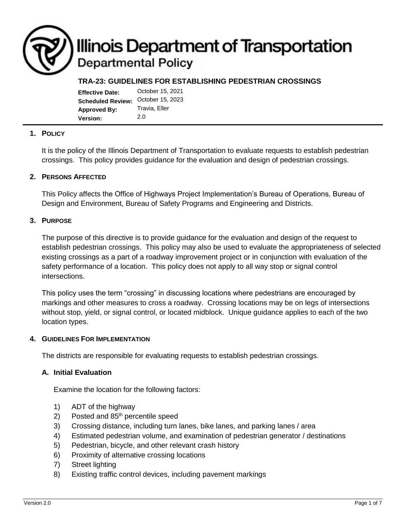# **Illinois Department of Transportation Departmental Policy**

## **TRA-23: GUIDELINES FOR ESTABLISHING PEDESTRIAN CROSSINGS**

| <b>Effective Date:</b>   | October 15, 2021 |
|--------------------------|------------------|
| <b>Scheduled Review:</b> | October 15, 2023 |
| <b>Approved By:</b>      | Travia, Eller    |
| <b>Version:</b>          | 2.0              |

## **1. POLICY**

It is the policy of the Illinois Department of Transportation to evaluate requests to establish pedestrian crossings. This policy provides guidance for the evaluation and design of pedestrian crossings.

#### **2. PERSONS AFFECTED**

This Policy affects the Office of Highways Project Implementation's Bureau of Operations, Bureau of Design and Environment, Bureau of Safety Programs and Engineering and Districts.

#### **3. PURPOSE**

The purpose of this directive is to provide guidance for the evaluation and design of the request to establish pedestrian crossings. This policy may also be used to evaluate the appropriateness of selected existing crossings as a part of a roadway improvement project or in conjunction with evaluation of the safety performance of a location. This policy does not apply to all way stop or signal control intersections.

This policy uses the term "crossing" in discussing locations where pedestrians are encouraged by markings and other measures to cross a roadway. Crossing locations may be on legs of intersections without stop, yield, or signal control, or located midblock. Unique guidance applies to each of the two location types.

#### **4. GUIDELINES FOR IMPLEMENTATION**

The districts are responsible for evaluating requests to establish pedestrian crossings.

#### **A. Initial Evaluation**

Examine the location for the following factors:

- 1) ADT of the highway
- 2) Posted and  $85<sup>th</sup>$  percentile speed
- 3) Crossing distance, including turn lanes, bike lanes, and parking lanes / area
- 4) Estimated pedestrian volume, and examination of pedestrian generator / destinations
- 5) Pedestrian, bicycle, and other relevant crash history
- 6) Proximity of alternative crossing locations
- 7) Street lighting
- 8) Existing traffic control devices, including pavement markings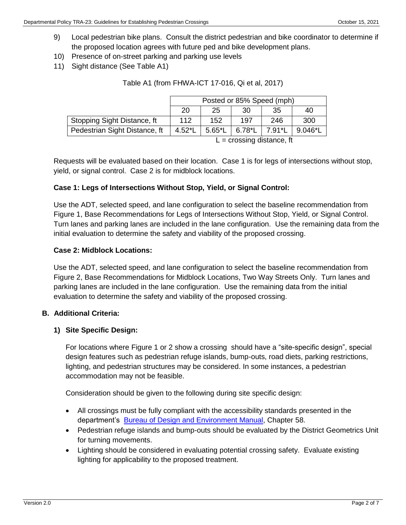- 9) Local pedestrian bike plans. Consult the district pedestrian and bike coordinator to determine if the proposed location agrees with future ped and bike development plans.
- 10) Presence of on-street parking and parking use levels
- 11) Sight distance (See Table A1)

| 20                    | 25              | 30       | 35     | 40                        |
|-----------------------|-----------------|----------|--------|---------------------------|
| 112                   | 152             | 197      | 246    | 300                       |
| $4.52$ <sup>*</sup> L | $5.65^{\ast}$ L | $6.78*L$ | 7.91*L | $9.046^*$ L               |
|                       |                 |          |        | Posted or 85% Speed (mph) |

#### Table A1 (from FHWA-ICT 17-016, Qi et al, 2017)

 $L =$  crossing distance, ft

Requests will be evaluated based on their location. Case 1 is for legs of intersections without stop, yield, or signal control. Case 2 is for midblock locations.

## **Case 1: Legs of Intersections Without Stop, Yield, or Signal Control:**

Use the ADT, selected speed, and lane configuration to select the baseline recommendation from [Figure 1,](#page-5-0) Base Recommendations for Legs of Intersections Without Stop, Yield, or Signal Control. Turn lanes and parking lanes are included in the lane configuration. Use the remaining data from the initial evaluation to determine the safety and viability of the proposed crossing.

## **Case 2: Midblock Locations:**

Use the ADT, selected speed, and lane configuration to select the baseline recommendation from Figure 2, Base Recommendations for Midblock Locations, Two Way Streets Only. Turn lanes and parking lanes are included in the lane configuration. Use the remaining data from the initial evaluation to determine the safety and viability of the proposed crossing.

## **B. Additional Criteria:**

## **1) Site Specific Design:**

For locations where Figure 1 or 2 show a crossing should have a "site-specific design", special design features such as pedestrian refuge islands, bump-outs, road diets, parking restrictions, lighting, and pedestrian structures may be considered. In some instances, a pedestrian accommodation may not be feasible.

Consideration should be given to the following during site specific design:

- All crossings must be fully compliant with the accessibility standards presented in the department's [Bureau of Design and Environment Manual,](https://idot.illinois.gov/Assets/uploads/files/Doing-Business/Manuals-Guides-&-Handbooks/Highways/Design-and-Environment/1Design%20and%20Environment%20Manual,%20Bureau%20of.pdf) Chapter 58.
- Pedestrian refuge islands and bump-outs should be evaluated by the District Geometrics Unit for turning movements.
- Lighting should be considered in evaluating potential crossing safety. Evaluate existing lighting for applicability to the proposed treatment.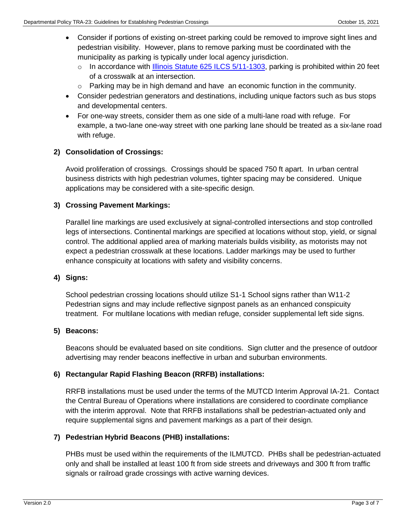- Consider if portions of existing on-street parking could be removed to improve sight lines and pedestrian visibility. However, plans to remove parking must be coordinated with the municipality as parking is typically under local agency jurisdiction.
	- $\circ$  In accordance with [Illinois Statute 625 ILCS 5/11-1303,](https://www.ilga.gov/legislation/ilcs/documents/062500050K11-1303.htm#:~:text=11%2D1303.,parking%20prohibited%20in%20specified%20places.&text=part%20of%20this%20subparagraph%20h,50%20hours%20of%20community%20service.) parking is prohibited within 20 feet of a crosswalk at an intersection.
	- $\circ$  Parking may be in high demand and have an economic function in the community.
- Consider pedestrian generators and destinations, including unique factors such as bus stops and developmental centers.
- For one-way streets, consider them as one side of a multi-lane road with refuge. For example, a two-lane one-way street with one parking lane should be treated as a six-lane road with refuge.

# **2) Consolidation of Crossings:**

Avoid proliferation of crossings. Crossings should be spaced 750 ft apart. In urban central business districts with high pedestrian volumes, tighter spacing may be considered. Unique applications may be considered with a site-specific design.

## **3) Crossing Pavement Markings:**

Parallel line markings are used exclusively at signal-controlled intersections and stop controlled legs of intersections. Continental markings are specified at locations without stop, yield, or signal control. The additional applied area of marking materials builds visibility, as motorists may not expect a pedestrian crosswalk at these locations. Ladder markings may be used to further enhance conspicuity at locations with safety and visibility concerns.

## **4) Signs:**

School pedestrian crossing locations should utilize S1-1 School signs rather than W11-2 Pedestrian signs and may include reflective signpost panels as an enhanced conspicuity treatment. For multilane locations with median refuge, consider supplemental left side signs.

## **5) Beacons:**

Beacons should be evaluated based on site conditions. Sign clutter and the presence of outdoor advertising may render beacons ineffective in urban and suburban environments.

# **6) Rectangular Rapid Flashing Beacon (RRFB) installations:**

RRFB installations must be used under the terms of the MUTCD Interim Approval IA-21. Contact the Central Bureau of Operations where installations are considered to coordinate compliance with the interim approval. Note that RRFB installations shall be pedestrian-actuated only and require supplemental signs and pavement markings as a part of their design.

# **7) Pedestrian Hybrid Beacons (PHB) installations:**

PHBs must be used within the requirements of the ILMUTCD. PHBs shall be pedestrian-actuated only and shall be installed at least 100 ft from side streets and driveways and 300 ft from traffic signals or railroad grade crossings with active warning devices.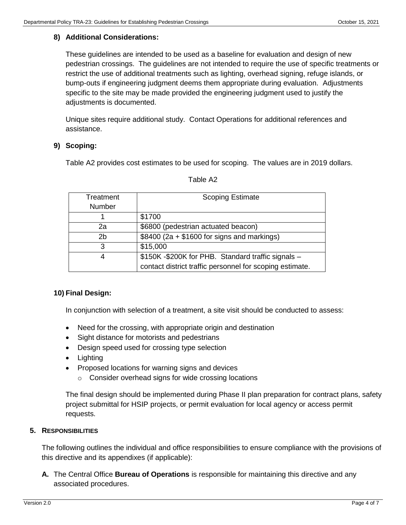## **8) Additional Considerations:**

These guidelines are intended to be used as a baseline for evaluation and design of new pedestrian crossings. The guidelines are not intended to require the use of specific treatments or restrict the use of additional treatments such as lighting, overhead signing, refuge islands, or bump-outs if engineering judgment deems them appropriate during evaluation. Adjustments specific to the site may be made provided the engineering judgment used to justify the adjustments is documented.

Unique sites require additional study. Contact Operations for additional references and assistance.

## **9) Scoping:**

Table A2 provides cost estimates to be used for scoping. The values are in 2019 dollars.

| Treatment | <b>Scoping Estimate</b>                                  |
|-----------|----------------------------------------------------------|
| Number    |                                                          |
|           | \$1700                                                   |
| 2a        | \$6800 (pedestrian actuated beacon)                      |
| 2b        | $$8400 (2a + $1600 for signs and markings)$              |
| 3         | \$15,000                                                 |
|           | \$150K -\$200K for PHB. Standard traffic signals -       |
|           | contact district traffic personnel for scoping estimate. |

#### Table A2

## **10) Final Design:**

In conjunction with selection of a treatment, a site visit should be conducted to assess:

- Need for the crossing, with appropriate origin and destination
- Sight distance for motorists and pedestrians
- Design speed used for crossing type selection
- Lighting
- Proposed locations for warning signs and devices
	- o Consider overhead signs for wide crossing locations

The final design should be implemented during Phase II plan preparation for contract plans, safety project submittal for HSIP projects, or permit evaluation for local agency or access permit requests.

#### **5. RESPONSIBILITIES**

The following outlines the individual and office responsibilities to ensure compliance with the provisions of this directive and its appendixes (if applicable):

**A.** The Central Office **Bureau of Operations** is responsible for maintaining this directive and any associated procedures.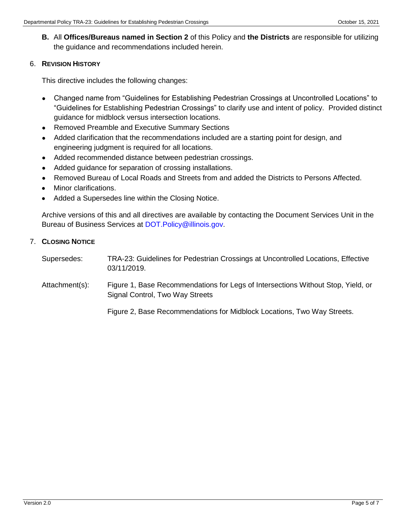**B.** All **Offices/Bureaus named in Section 2** of this Policy and **the Districts** are responsible for utilizing the guidance and recommendations included herein.

#### 6. **REVISION HISTORY**

This directive includes the following changes:

- Changed name from "Guidelines for Establishing Pedestrian Crossings at Uncontrolled Locations" to "Guidelines for Establishing Pedestrian Crossings" to clarify use and intent of policy. Provided distinct guidance for midblock versus intersection locations.
- Removed Preamble and Executive Summary Sections
- Added clarification that the recommendations included are a starting point for design, and engineering judgment is required for all locations.
- Added recommended distance between pedestrian crossings.
- Added guidance for separation of crossing installations.
- Removed Bureau of Local Roads and Streets from and added the Districts to Persons Affected.
- Minor clarifications.
- Added a Supersedes line within the Closing Notice.

Archive versions of this and all directives are available by contacting the Document Services Unit in the Bureau of Business Services at DOT. Policy@illinois.gov.

## 7. **CLOSING NOTICE**

- Supersedes: TRA-23: Guidelines for Pedestrian Crossings at Uncontrolled Locations, Effective 03/11/2019.
- Attachment(s): Figure 1, Base Recommendations for Legs of Intersections Without Stop, Yield, or Signal Control, Two Way Streets

Figure 2, Base Recommendations for Midblock Locations, Two Way Streets.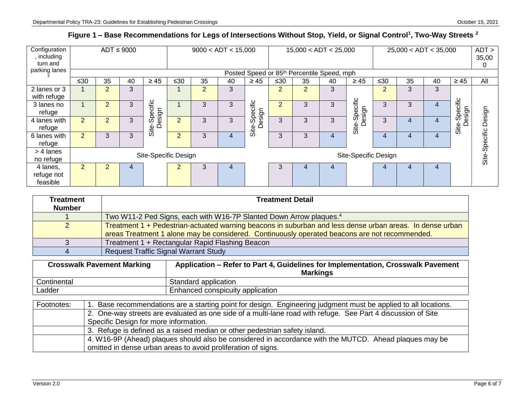# **Figure 1 – Base Recommendations for Legs of Intersections Without Stop, Yield, or Signal Control<sup>1</sup> , Two-Way Streets <sup>2</sup>**

| Configuration<br>, including<br>turn and |                      | $ADT \leq 9000$ |    |                     |                | 9000 < ADT < 15,000 |    |                     |                |                | 15,000 < ADT < 25,000                                  |                         |                | 25,000 < ADT < 35,000 |    |                  | ADT<br>35,00<br>0 |
|------------------------------------------|----------------------|-----------------|----|---------------------|----------------|---------------------|----|---------------------|----------------|----------------|--------------------------------------------------------|-------------------------|----------------|-----------------------|----|------------------|-------------------|
| parking lanes                            |                      |                 |    |                     |                |                     |    |                     |                |                | Posted Speed or 85 <sup>th</sup> Percentile Speed, mph |                         |                |                       |    |                  |                   |
|                                          | $\leq 30$            | 35              | 40 | $\geq 45$           | $≤30$          | 35                  | 40 | $\geq 45$           | ≤30            | 35             | 40                                                     | $\geq 45$               | $≤30$          | 35                    | 40 | $\geq 45$        | All               |
| 2 lanes or 3<br>with refuge              |                      | 2               | 3  |                     |                | $\overline{2}$      | 3  |                     | $\overline{2}$ | $\overline{2}$ | 3                                                      |                         | $\overline{2}$ | 3                     | 3  |                  |                   |
| 3 lanes no<br>refuge                     |                      | $\overline{2}$  | 3  | pecific             |                | 3                   | 3  | pecific             | $\overline{2}$ | 3              | 3                                                      | Site-Specific<br>Design | 3              | 3                     | 4  | Specific<br>sign |                   |
| 4 lanes with<br>refuge                   | $\overline{2}$       | $\overline{2}$  | 3  | Design<br>ഗ<br>Site | $\overline{2}$ | 3                   | 3  | Design<br>ഗ<br>Site | 3              | 3              | 3                                                      |                         | 3              | 4                     | 4  | Site-S<br>De:    | Design            |
| 6 lanes with<br>refuge                   | $\overline{2}$       | 3               | 3  |                     | $\overline{2}$ | 3                   | 4  |                     | 3              | 3              | $\overline{4}$                                         |                         | 4              | 4                     | 4  |                  | Site-Specific     |
| > 4 lanes<br>no refuge                   | Site-Specific Design |                 |    |                     |                |                     |    |                     |                |                |                                                        | Site-Specific Design    |                |                       |    |                  |                   |
| 4 lanes,<br>refuge not<br>feasible       | $\overline{2}$       | $\mathcal{P}$   | 4  |                     | C              | 3                   | 4  |                     | 3              | 4              | 4                                                      |                         | 4              |                       | 4  |                  |                   |

<span id="page-5-0"></span>

| <b>Treatment</b><br><b>Number</b> | <b>Treatment Detail</b>                                                                                                                                                                                   |
|-----------------------------------|-----------------------------------------------------------------------------------------------------------------------------------------------------------------------------------------------------------|
|                                   | Two W11-2 Ped Signs, each with W16-7P Slanted Down Arrow plaques. <sup>4</sup>                                                                                                                            |
|                                   | Treatment 1 + Pedestrian-actuated warning beacons in suburban and less dense urban areas. In dense urban<br>areas Treatment 1 alone may be considered. Continuously operated beacons are not recommended. |
|                                   | Treatment 1 + Rectangular Rapid Flashing Beacon                                                                                                                                                           |
|                                   | <b>Request Traffic Signal Warrant Study</b>                                                                                                                                                               |
|                                   |                                                                                                                                                                                                           |

| <b>Crosswalk Pavement Marking</b> | Application – Refer to Part 4, Guidelines for Implementation, Crosswalk Pavement<br><b>Markings</b> |
|-----------------------------------|-----------------------------------------------------------------------------------------------------|
| Continental                       | Standard application                                                                                |
| ∟adder                            | Enhanced conspicuity application                                                                    |

| Footnotes: | 1. Base recommendations are a starting point for design. Engineering judgment must be applied to all locations. |
|------------|-----------------------------------------------------------------------------------------------------------------|
|            | 2. One-way streets are evaluated as one side of a multi-lane road with refuge. See Part 4 discussion of Site    |
|            | Specific Design for more information.                                                                           |
|            | 3. Refuge is defined as a raised median or other pedestrian safety island.                                      |
|            | 4. W16-9P (Ahead) plaques should also be considered in accordance with the MUTCD. Ahead plaques may be          |
|            | omitted in dense urban areas to avoid proliferation of signs.                                                   |